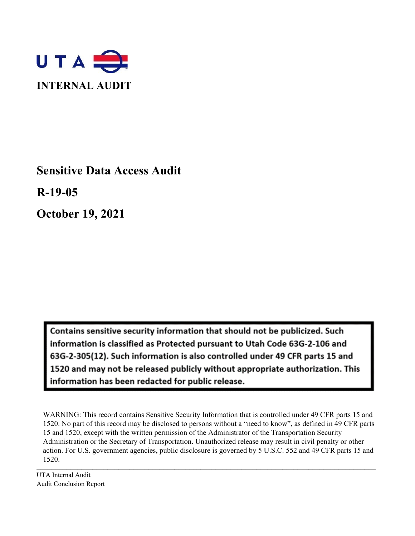

**Sensitive Data Access Audit**

**R-19-05**

**October 19, 2021**

Contains sensitive security information that should not be publicized. Such information is classified as Protected pursuant to Utah Code 63G-2-106 and 63G-2-305(12). Such information is also controlled under 49 CFR parts 15 and 1520 and may not be released publicly without appropriate authorization. This information has been redacted for public release.

 $\mathcal{L}_\mathcal{L} = \mathcal{L}_\mathcal{L} = \mathcal{L}_\mathcal{L} = \mathcal{L}_\mathcal{L} = \mathcal{L}_\mathcal{L} = \mathcal{L}_\mathcal{L} = \mathcal{L}_\mathcal{L} = \mathcal{L}_\mathcal{L} = \mathcal{L}_\mathcal{L} = \mathcal{L}_\mathcal{L} = \mathcal{L}_\mathcal{L} = \mathcal{L}_\mathcal{L} = \mathcal{L}_\mathcal{L} = \mathcal{L}_\mathcal{L} = \mathcal{L}_\mathcal{L} = \mathcal{L}_\mathcal{L} = \mathcal{L}_\mathcal{L}$ WARNING: This record contains Sensitive Security Information that is controlled under 49 CFR parts 15 and 1520. No part of this record may be disclosed to persons without a "need to know", as defined in 49 CFR parts 15 and 1520, except with the written permission of the Administrator of the Transportation Security Administration or the Secretary of Transportation. Unauthorized release may result in civil penalty or other action. For U.S. government agencies, public disclosure is governed by 5 U.S.C. 552 and 49 CFR parts 15 and 1520.

UTA Internal Audit Audit Conclusion Report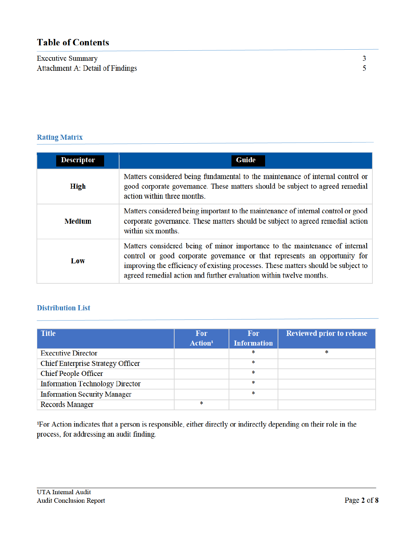# **Table of Contents**

**Executive Summary** Attachment A: Detail of Findings

# **Rating Matrix**

| <b>Descriptor</b> | Guide                                                                                                                                                                                                                                                                                                                  |
|-------------------|------------------------------------------------------------------------------------------------------------------------------------------------------------------------------------------------------------------------------------------------------------------------------------------------------------------------|
| <b>High</b>       | Matters considered being fundamental to the maintenance of internal control or<br>good corporate governance. These matters should be subject to agreed remedial<br>action within three months.                                                                                                                         |
| <b>Medium</b>     | Matters considered being important to the maintenance of internal control or good<br>corporate governance. These matters should be subject to agreed remedial action<br>within six months.                                                                                                                             |
| Low               | Matters considered being of minor importance to the maintenance of internal<br>control or good corporate governance or that represents an opportunity for<br>improving the efficiency of existing processes. These matters should be subject to<br>agreed remedial action and further evaluation within twelve months. |

# **Distribution List**

| <b>Title</b>                             | <b>For</b><br>Action <sup>1</sup> | <b>For</b><br><b>Information</b> | <b>Reviewed prior to release</b> |
|------------------------------------------|-----------------------------------|----------------------------------|----------------------------------|
| <b>Executive Director</b>                |                                   | *                                | *                                |
| <b>Chief Enterprise Strategy Officer</b> |                                   | ∗                                |                                  |
| <b>Chief People Officer</b>              |                                   | ∗                                |                                  |
| <b>Information Technology Director</b>   |                                   | ∗                                |                                  |
| <b>Information Security Manager</b>      |                                   | *                                |                                  |
| <b>Records Manager</b>                   | *                                 |                                  |                                  |

<sup>1</sup>For Action indicates that a person is responsible, either directly or indirectly depending on their role in the process, for addressing an audit finding.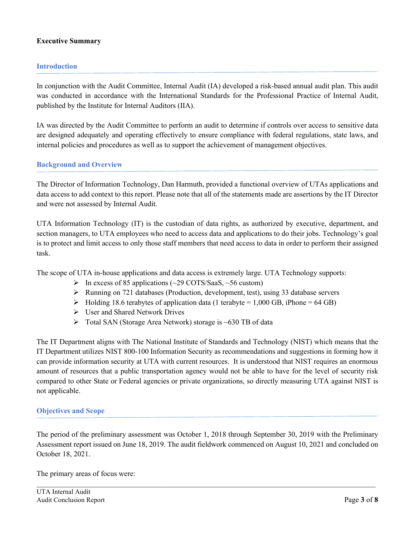# **Executive Summary**

## **Introduction**

In conjunction with the Audit Committee, Internal Audit (IA) developed a risk-based annual audit plan. This audit was conducted in accordance with the International Standards for the Professional Practice of Internal Audit, published by the Institute for Internal Auditors (IIA).

IA was directed by the Audit Committee to perform an audit to determine if controls over access to sensitive data are designed adequately and operating effectively to ensure compliance with federal regulations, state laws, and internal policies and procedures as well as to support the achievement of management objectives.

## **Background and Overview**

The Director of Information Technology, Dan Harmuth, provided a functional overview of UTAs applications and data access to add context to this report. Please note that all of the statements made are assertions by the IT Director and were not assessed by Internal Audit.

UTA Information Technology (IT) is the custodian of data rights, as authorized by executive, department, and section managers, to UTA employees who need to access data and applications to do their jobs. Technology's goal is to protect and limit access to only those staff members that need access to data in order to perform their assigned task.

The scope of UTA in-house applications and data access is extremely large. UTA Technology supports:

- $\triangleright$  In excess of 85 applications (~29 COTS/SaaS, ~56 custom)
- $\triangleright$  Running on 721 databases (Production, development, test), using 33 database servers
- $\blacktriangleright$  Holding 18.6 terabytes of application data (1 terabyte = 1,000 GB, iPhone = 64 GB)
- User and Shared Network Drives
- $\triangleright$  Total SAN (Storage Area Network) storage is ~630 TB of data

The IT Department aligns with The National Institute of Standards and Technology (NIST) which means that the IT Department utilizes NIST 800-100 Information Security as recommendations and suggestions in forming how it can provide information security at UTA with current resources. It is understood that NIST requires an enormous amount of resources that a public transportation agency would not be able to have for the level of security risk compared to other State or Federal agencies or private organizations, so directly measuring UTA against NIST is not applicable.

## **Objectives and Scope**

The period of the preliminary assessment was October 1, 2018 through September 30, 2019 with the Preliminary Assessment report issued on June 18, 2019. The audit fieldwork commenced on August 10, 2021 and concluded on October 18, 2021.

 $\_$ 

The primary areas of focus were: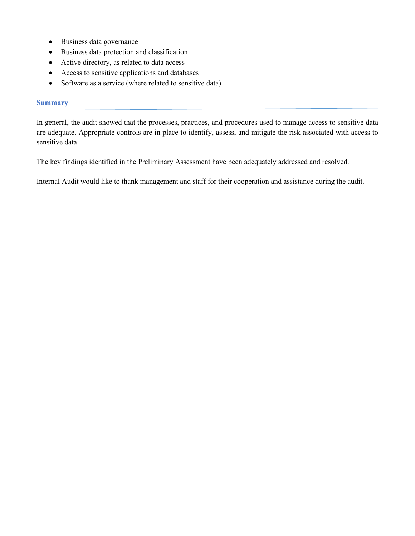- Business data governance
- Business data protection and classification
- Active directory, as related to data access
- Access to sensitive applications and databases
- Software as a service (where related to sensitive data)

#### **Summary**

In general, the audit showed that the processes, practices, and procedures used to manage access to sensitive data are adequate. Appropriate controls are in place to identify, assess, and mitigate the risk associated with access to sensitive data.

The key findings identified in the Preliminary Assessment have been adequately addressed and resolved.

Internal Audit would like to thank management and staff for their cooperation and assistance during the audit.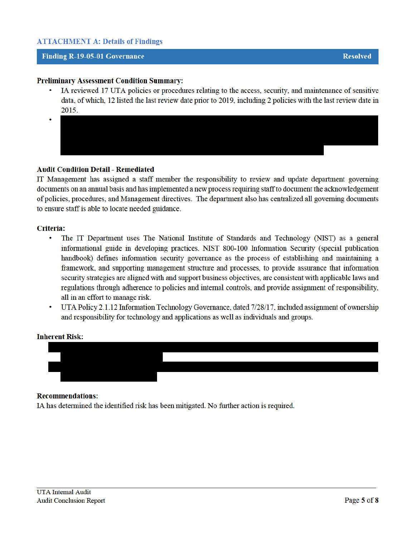# **ATTACHMENT A: Details of Findings**

## **Finding R-19-05-01 Governance**

- IA reviewed 17 UTA policies or procedures relating to the access, security, and maintenance of sensitive data, of which, 12 listed the last review date prior to 2019, including 2 policies with the last review date in 2015.
- 

# **Audit Condition Detail - Remediated**

IT Management has assigned a staff member the responsibility to review and update department governing documents on an annual basis and has implemented a new process requiring staff to document the acknowledgement of policies, procedures, and Management directives. The department also has centralized all governing documents to ensure staff is able to locate needed guidance.

## Criteria:

- The IT Department uses The National Institute of Standards and Technology (NIST) as a general informational guide in developing practices. NIST 800-100 Information Security (special publication handbook) defines information security governance as the process of establishing and maintaining a framework, and supporting management structure and processes, to provide assurance that information security strategies are aligned with and support business objectives, are consistent with applicable laws and regulations through adherence to policies and internal controls, and provide assignment of responsibility, all in an effort to manage risk.
- UTA Policy 2.1.12 Information Technology Governance, dated 7/28/17, included assignment of ownership and responsibility for technology and applications as well as individuals and groups.

## **Inherent Risk:**



## **Recommendations:**

IA has determined the identified risk has been mitigated. No further action is required.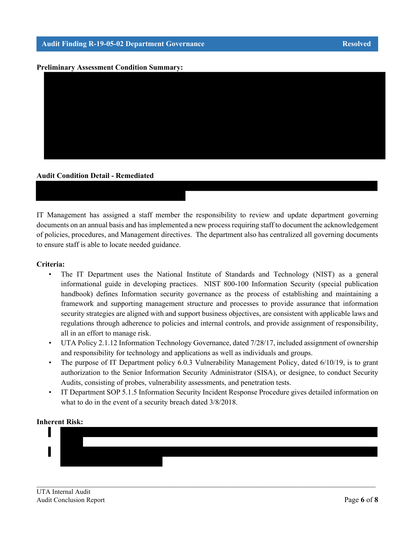#### **Preliminary Assessment Condition Summary:**



### **Audit Condition Detail - Remediated**

IT Management has assigned a staff member the responsibility to review and update department governing documents on an annual basis and has implemented a new process requiring staff to document the acknowledgement of policies, procedures, and Management directives. The department also has centralized all governing documents to ensure staff is able to locate needed guidance.

#### **Criteria:**

- The IT Department uses the National Institute of Standards and Technology (NIST) as a general informational guide in developing practices. NIST 800-100 Information Security (special publication handbook) defines Information security governance as the process of establishing and maintaining a framework and supporting management structure and processes to provide assurance that information security strategies are aligned with and support business objectives, are consistent with applicable laws and regulations through adherence to policies and internal controls, and provide assignment of responsibility, all in an effort to manage risk.
- UTA Policy 2.1.12 Information Technology Governance, dated 7/28/17, included assignment of ownership and responsibility for technology and applications as well as individuals and groups.
- The purpose of IT Department policy 6.0.3 Vulnerability Management Policy, dated 6/10/19, is to grant authorization to the Senior Information Security Administrator (SISA), or designee, to conduct Security Audits, consisting of probes, vulnerability assessments, and penetration tests.
- IT Department SOP 5.1.5 Information Security Incident Response Procedure gives detailed information on what to do in the event of a security breach dated 3/8/2018.

#### **Inherent Risk:**



 $\_$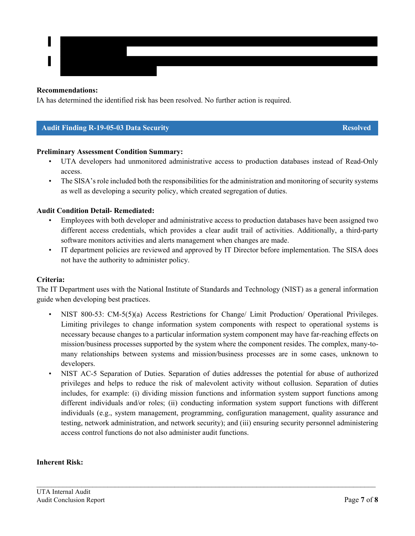## **Recommendations:**

IA has determined the identified risk has been resolved. No further action is required.

## **Audit Finding R-19-05-03 Data Security Resolved Resolved**

## **Preliminary Assessment Condition Summary:**

- UTA developers had unmonitored administrative access to production databases instead of Read-Only access.
- The SISA's role included both the responsibilities for the administration and monitoring of security systems as well as developing a security policy, which created segregation of duties.

## **Audit Condition Detail- Remediated:**

- Employees with both developer and administrative access to production databases have been assigned two different access credentials, which provides a clear audit trail of activities. Additionally, a third-party software monitors activities and alerts management when changes are made.
- IT department policies are reviewed and approved by IT Director before implementation. The SISA does not have the authority to administer policy.

#### **Criteria:**

The IT Department uses with the National Institute of Standards and Technology (NIST) as a general information guide when developing best practices.

- NIST 800-53: CM-5(5)(a) Access Restrictions for Change/ Limit Production/ Operational Privileges. Limiting privileges to change information system components with respect to operational systems is necessary because changes to a particular information system component may have far-reaching effects on mission/business processes supported by the system where the component resides. The complex, many-tomany relationships between systems and mission/business processes are in some cases, unknown to developers.
- NIST AC-5 Separation of Duties. Separation of duties addresses the potential for abuse of authorized privileges and helps to reduce the risk of malevolent activity without collusion. Separation of duties includes, for example: (i) dividing mission functions and information system support functions among different individuals and/or roles; (ii) conducting information system support functions with different individuals (e.g., system management, programming, configuration management, quality assurance and testing, network administration, and network security); and (iii) ensuring security personnel administering access control functions do not also administer audit functions.

 $\_$ 

## **Inherent Risk:**